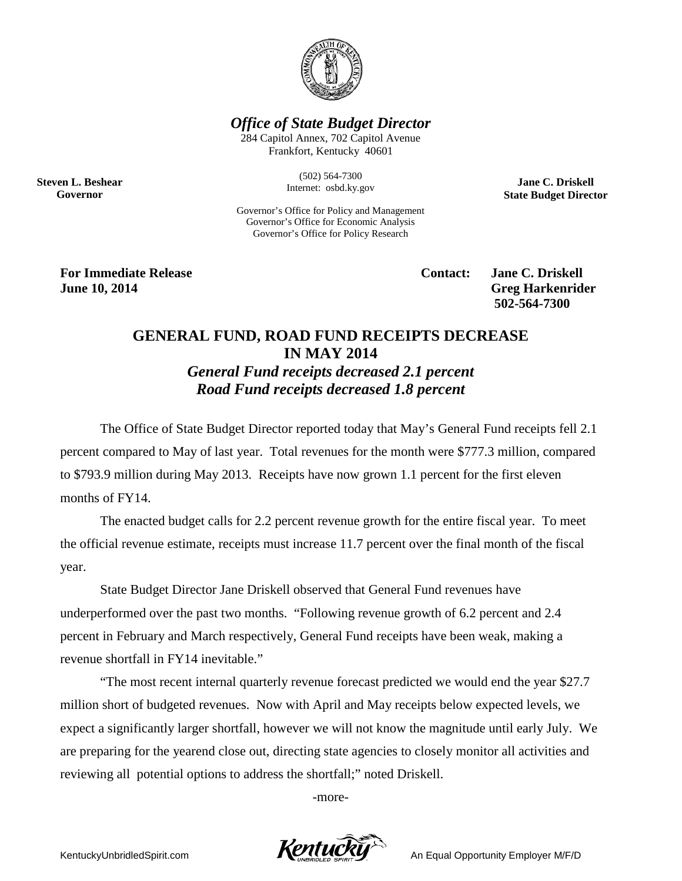

*Office of State Budget Director*

284 Capitol Annex, 702 Capitol Avenue Frankfort, Kentucky 40601

> (502) 564-7300 Internet: osbd.ky.gov

**Jane C. Driskell State Budget Director**

Governor's Office for Policy and Management Governor's Office for Economic Analysis Governor's Office for Policy Research

**For Immediate Release Contact: Jane C. Driskell June 10, 2014 Greg Harkenrider Greg Harkenrider** 

**Steven L. Beshear Governor**

**502-564-7300** 

## **GENERAL FUND, ROAD FUND RECEIPTS DECREASE IN MAY 2014**

*General Fund receipts decreased 2.1 percent Road Fund receipts decreased 1.8 percent*

The Office of State Budget Director reported today that May's General Fund receipts fell 2.1 percent compared to May of last year. Total revenues for the month were \$777.3 million, compared to \$793.9 million during May 2013. Receipts have now grown 1.1 percent for the first eleven months of FY14.

The enacted budget calls for 2.2 percent revenue growth for the entire fiscal year. To meet the official revenue estimate, receipts must increase 11.7 percent over the final month of the fiscal year.

State Budget Director Jane Driskell observed that General Fund revenues have underperformed over the past two months. "Following revenue growth of 6.2 percent and 2.4 percent in February and March respectively, General Fund receipts have been weak, making a revenue shortfall in FY14 inevitable."

"The most recent internal quarterly revenue forecast predicted we would end the year \$27.7 million short of budgeted revenues. Now with April and May receipts below expected levels, we expect a significantly larger shortfall, however we will not know the magnitude until early July. We are preparing for the yearend close out, directing state agencies to closely monitor all activities and reviewing all potential options to address the shortfall;" noted Driskell.

-more-

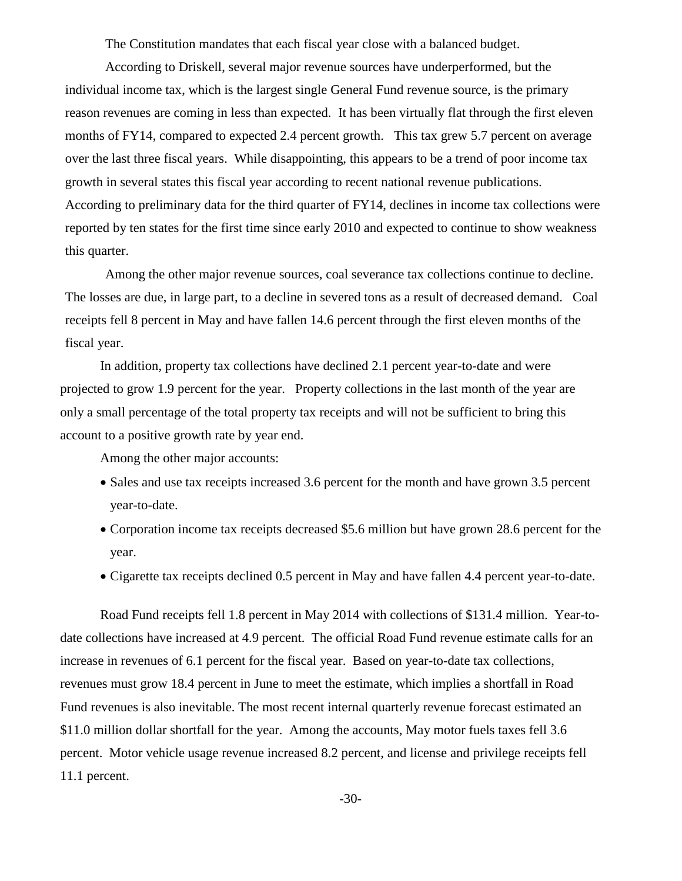The Constitution mandates that each fiscal year close with a balanced budget.

According to Driskell, several major revenue sources have underperformed, but the individual income tax, which is the largest single General Fund revenue source, is the primary reason revenues are coming in less than expected. It has been virtually flat through the first eleven months of FY14, compared to expected 2.4 percent growth. This tax grew 5.7 percent on average over the last three fiscal years. While disappointing, this appears to be a trend of poor income tax growth in several states this fiscal year according to recent national revenue publications. According to preliminary data for the third quarter of FY14, declines in income tax collections were reported by ten states for the first time since early 2010 and expected to continue to show weakness this quarter.

Among the other major revenue sources, coal severance tax collections continue to decline. The losses are due, in large part, to a decline in severed tons as a result of decreased demand. Coal receipts fell 8 percent in May and have fallen 14.6 percent through the first eleven months of the fiscal year.

In addition, property tax collections have declined 2.1 percent year-to-date and were projected to grow 1.9 percent for the year. Property collections in the last month of the year are only a small percentage of the total property tax receipts and will not be sufficient to bring this account to a positive growth rate by year end.

Among the other major accounts:

- Sales and use tax receipts increased 3.6 percent for the month and have grown 3.5 percent year-to-date.
- Corporation income tax receipts decreased \$5.6 million but have grown 28.6 percent for the year.
- Cigarette tax receipts declined 0.5 percent in May and have fallen 4.4 percent year-to-date.

Road Fund receipts fell 1.8 percent in May 2014 with collections of \$131.4 million. Year-todate collections have increased at 4.9 percent. The official Road Fund revenue estimate calls for an increase in revenues of 6.1 percent for the fiscal year. Based on year-to-date tax collections, revenues must grow 18.4 percent in June to meet the estimate, which implies a shortfall in Road Fund revenues is also inevitable. The most recent internal quarterly revenue forecast estimated an \$11.0 million dollar shortfall for the year. Among the accounts, May motor fuels taxes fell 3.6 percent. Motor vehicle usage revenue increased 8.2 percent, and license and privilege receipts fell 11.1 percent.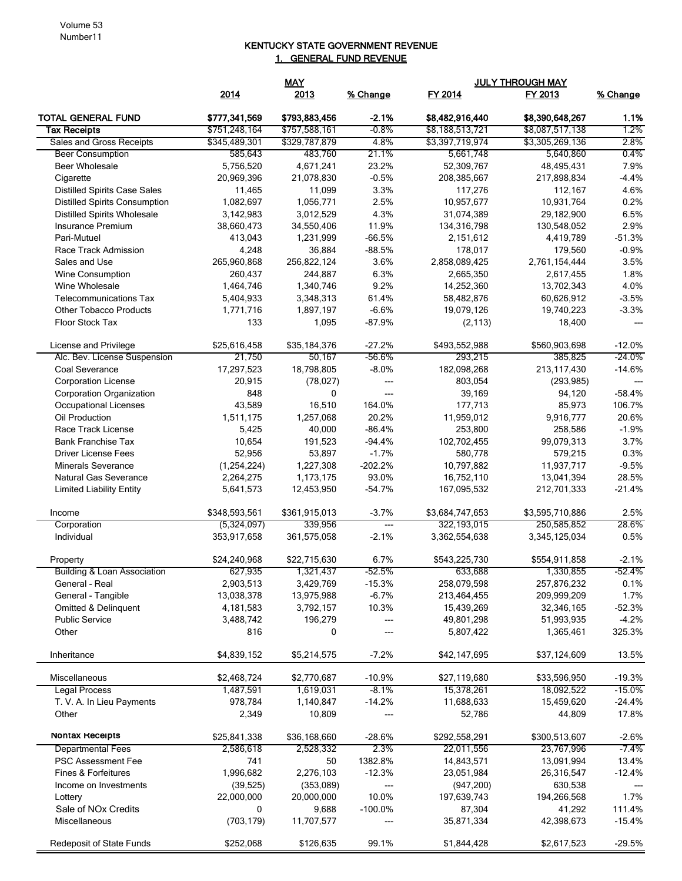## KENTUCKY STATE GOVERNMENT REVENUE 1. GENERAL FUND REVENUE

|                                      |               | <b>MAY</b>    |                          | <b>JULY THROUGH MAY</b> |                 |           |  |
|--------------------------------------|---------------|---------------|--------------------------|-------------------------|-----------------|-----------|--|
|                                      | 2014          | 2013          | % Change                 | FY 2014                 | FY 2013         | % Change  |  |
| <b>TOTAL GENERAL FUND</b>            | \$777,341,569 | \$793,883,456 | $-2.1%$                  | \$8,482,916,440         | \$8,390,648,267 | 1.1%      |  |
| <b>Tax Receipts</b>                  | \$751,248,164 | \$757,588,161 | $-0.8%$                  | \$8,188,513,721         | \$8,087,517,138 | 1.2%      |  |
| Sales and Gross Receipts             | \$345,489,301 | \$329,787,879 | 4.8%                     | \$3,397,719,974         | \$3,305,269,136 | 2.8%      |  |
| <b>Beer Consumption</b>              | 585,643       | 483,760       | 21.1%                    | 5,661,748               | 5,640,860       | 0.4%      |  |
| <b>Beer Wholesale</b>                | 5,756,520     | 4,671,241     | 23.2%                    | 52,309,767              | 48,495,431      | 7.9%      |  |
| Cigarette                            | 20,969,396    | 21,078,830    | $-0.5%$                  | 208,385,667             | 217,898,834     | $-4.4%$   |  |
| <b>Distilled Spirits Case Sales</b>  | 11,465        | 11,099        | 3.3%                     | 117,276                 | 112,167         | 4.6%      |  |
| <b>Distilled Spirits Consumption</b> | 1,082,697     | 1,056,771     | 2.5%                     | 10,957,677              | 10,931,764      | 0.2%      |  |
| <b>Distilled Spirits Wholesale</b>   | 3,142,983     | 3,012,529     | 4.3%                     | 31,074,389              | 29,182,900      | 6.5%      |  |
| Insurance Premium                    | 38,660,473    | 34,550,406    | 11.9%                    | 134,316,798             | 130,548,052     | 2.9%      |  |
| Pari-Mutuel                          | 413,043       | 1,231,999     | $-66.5%$                 | 2,151,612               | 4,419,789       | $-51.3%$  |  |
| Race Track Admission                 | 4,248         | 36,884        | $-88.5%$                 | 178,017                 | 179,560         | $-0.9%$   |  |
| Sales and Use                        | 265,960,868   | 256,822,124   | 3.6%                     | 2,858,089,425           | 2,761,154,444   | 3.5%      |  |
| <b>Wine Consumption</b>              | 260,437       | 244,887       | 6.3%                     | 2,665,350               | 2,617,455       | 1.8%      |  |
| Wine Wholesale                       | 1,464,746     | 1,340,746     | 9.2%                     | 14,252,360              | 13,702,343      | 4.0%      |  |
| <b>Telecommunications Tax</b>        | 5,404,933     | 3,348,313     | 61.4%                    | 58,482,876              | 60,626,912      | $-3.5%$   |  |
| <b>Other Tobacco Products</b>        | 1,771,716     | 1,897,197     | $-6.6%$                  | 19,079,126              | 19,740,223      | $-3.3%$   |  |
| Floor Stock Tax                      | 133           | 1,095         | $-87.9%$                 | (2, 113)                | 18,400          | $---$     |  |
| License and Privilege                | \$25,616,458  | \$35,184,376  | $-27.2%$                 | \$493,552,988           | \$560,903,698   | $-12.0%$  |  |
| Alc. Bev. License Suspension         | 21,750        | 50.167        | $-56.6%$                 | 293,215                 | 385,825         | $-24.0\%$ |  |
| Coal Severance                       | 17,297,523    | 18,798,805    | $-8.0%$                  | 182,098,268             | 213,117,430     | $-14.6%$  |  |
| <b>Corporation License</b>           | 20,915        | (78, 027)     | ---                      | 803,054                 | (293, 985)      | ---       |  |
| <b>Corporation Organization</b>      | 848           | 0             | $---$                    | 39,169                  | 94,120          | $-58.4%$  |  |
| <b>Occupational Licenses</b>         | 43,589        | 16,510        | 164.0%                   | 177,713                 | 85,973          | 106.7%    |  |
| Oil Production                       | 1,511,175     | 1,257,068     | 20.2%                    | 11,959,012              | 9,916,777       | 20.6%     |  |
| Race Track License                   | 5,425         | 40,000        | $-86.4%$                 | 253,800                 | 258,586         | $-1.9%$   |  |
| <b>Bank Franchise Tax</b>            | 10,654        | 191,523       | $-94.4%$                 | 102,702,455             | 99,079,313      | 3.7%      |  |
| <b>Driver License Fees</b>           | 52,956        | 53,897        | $-1.7%$                  | 580,778                 | 579,215         | 0.3%      |  |
| <b>Minerals Severance</b>            | (1,254,224)   | 1,227,308     | $-202.2%$                | 10,797,882              | 11,937,717      | $-9.5%$   |  |
| Natural Gas Severance                | 2,264,275     | 1,173,175     | 93.0%                    | 16,752,110              | 13,041,394      | 28.5%     |  |
| <b>Limited Liability Entity</b>      | 5,641,573     | 12,453,950    | $-54.7%$                 | 167,095,532             | 212,701,333     | $-21.4%$  |  |
| Income                               | \$348,593,561 | \$361,915,013 | $-3.7%$                  | \$3,684,747,653         | \$3,595,710,886 | 2.5%      |  |
| Corporation                          | (5,324,097)   | 339,956       | $\qquad \qquad \cdots$   | 322,193,015             | 250,585,852     | 28.6%     |  |
| Individual                           | 353,917,658   | 361,575,058   | $-2.1%$                  | 3,362,554,638           | 3,345,125,034   | 0.5%      |  |
| Property                             | \$24,240,968  | \$22,715,630  | 6.7%                     | \$543,225,730           | \$554,911,858   | $-2.1%$   |  |
| Building & Loan Association          | 627,935       | 1,321,437     | -52.5%                   | 633,688                 | 1,330,855       | -52.4%    |  |
| General - Real                       | 2,903,513     | 3,429,769     | $-15.3%$                 | 258,079,598             | 257,876,232     | 0.1%      |  |
| General - Tangible                   | 13,038,378    | 13,975,988    | $-6.7%$                  | 213,464,455             | 209,999,209     | 1.7%      |  |
| Omitted & Delinquent                 | 4,181,583     | 3,792,157     | 10.3%                    | 15,439,269              | 32,346,165      | $-52.3%$  |  |
| <b>Public Service</b>                | 3,488,742     | 196,279       | $\hspace{0.05cm} \ldots$ | 49,801,298              | 51,993,935      | $-4.2%$   |  |
| Other                                | 816           | 0             | ---                      | 5,807,422               | 1,365,461       | 325.3%    |  |
| Inheritance                          | \$4,839,152   | \$5,214,575   | $-7.2%$                  | \$42,147,695            | \$37,124,609    | 13.5%     |  |
| Miscellaneous                        | \$2,468,724   | \$2,770,687   | $-10.9%$                 | \$27,119,680            | \$33,596,950    | $-19.3%$  |  |
| <b>Legal Process</b>                 | 1,487,591     | 1,619,031     | $-8.1%$                  | 15,378,261              | 18,092,522      | $-15.0%$  |  |
| T. V. A. In Lieu Payments            | 978,784       | 1,140,847     | $-14.2%$                 | 11,688,633              | 15,459,620      | $-24.4%$  |  |
| Other                                | 2,349         | 10,809        | ---                      | 52,786                  | 44,809          | 17.8%     |  |
| <b>Nontax Receipts</b>               | \$25,841,338  | \$36,168,660  | $-28.6%$                 | \$292,558,291           | \$300,513,607   | $-2.6%$   |  |
| <b>Departmental Fees</b>             | 2,586,618     | 2,528,332     | 2.3%                     | 22,011,556              | 23,767,996      | $-7.4%$   |  |
| <b>PSC Assessment Fee</b>            | 741           | 50            | 1382.8%                  | 14,843,571              | 13,091,994      | 13.4%     |  |
| Fines & Forfeitures                  | 1,996,682     | 2,276,103     | $-12.3%$                 | 23,051,984              | 26,316,547      | $-12.4%$  |  |
| Income on Investments                | (39, 525)     | (353,089)     | ---                      | (947, 200)              | 630,538         |           |  |
| Lottery                              | 22,000,000    | 20,000,000    | 10.0%                    | 197,639,743             | 194,266,568     | 1.7%      |  |
| Sale of NOx Credits                  | 0             | 9,688         | $-100.0%$                | 87,304                  | 41,292          | 111.4%    |  |
| Miscellaneous                        | (703, 179)    | 11,707,577    | ---                      | 35,871,334              | 42,398,673      | $-15.4%$  |  |
| <b>Redeposit of State Funds</b>      | \$252,068     | \$126,635     | 99.1%                    | \$1,844,428             | \$2,617,523     | $-29.5%$  |  |